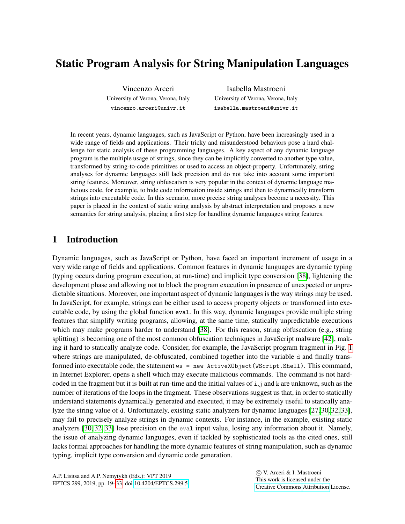# Static Program Analysis for String Manipulation Languages

Vincenzo Arceri University of Verona, Verona, Italy vincenzo.arceri@univr.it

Isabella Mastroeni University of Verona, Verona, Italy isabella.mastroeni@univr.it

In recent years, dynamic languages, such as JavaScript or Python, have been increasingly used in a wide range of fields and applications. Their tricky and misunderstood behaviors pose a hard challenge for static analysis of these programming languages. A key aspect of any dynamic language program is the multiple usage of strings, since they can be implicitly converted to another type value, transformed by string-to-code primitives or used to access an object-property. Unfortunately, string analyses for dynamic languages still lack precision and do not take into account some important string features. Moreover, string obfuscation is very popular in the context of dynamic language malicious code, for example, to hide code information inside strings and then to dynamically transform strings into executable code. In this scenario, more precise string analyses become a necessity. This paper is placed in the context of static string analysis by abstract interpretation and proposes a new semantics for string analysis, placing a first step for handling dynamic languages string features.

## 1 Introduction

Dynamic languages, such as JavaScript or Python, have faced an important increment of usage in a very wide range of fields and applications. Common features in dynamic languages are dynamic typing (typing occurs during program execution, at run-time) and implicit type conversion [\[38\]](#page-14-1), lightening the development phase and allowing not to block the program execution in presence of unexpected or unpredictable situations. Moreover, one important aspect of dynamic languages is the way strings may be used. In JavaScript, for example, strings can be either used to access property objects or transformed into executable code, by using the global function eval. In this way, dynamic languages provide multiple string features that simplify writing programs, allowing, at the same time, statically unpredictable executions which may make programs harder to understand [\[38\]](#page-14-1). For this reason, string obfuscation (e.g., string splitting) is becoming one of the most common obfuscation techniques in JavaScript malware [\[42\]](#page-14-2), making it hard to statically analyze code. Consider, for example, the JavaScript program fragment in Fig. [1](#page-1-0) where strings are manipulated, de-obfuscated, combined together into the variable d and finally transformed into executable code, the statement ws = new ActiveXObject(WScript.Shell). This command, in Internet Explorer, opens a shell which may execute malicious commands. The command is not hardcoded in the fragment but it is built at run-time and the initial values of  $i, j$  and k are unknown, such as the number of iterations of the loops in the fragment. These observations suggest us that, in order to statically understand statements dynamically generated and executed, it may be extremely useful to statically analyze the string value of d. Unfortunately, existing static analyzers for dynamic languages [\[27,](#page-14-3) [30,](#page-14-4) [32,](#page-14-5) [33\]](#page-14-6), may fail to precisely analyze strings in dynamic contexts. For instance, in the example, existing static analyzers [\[30,](#page-14-4) [32,](#page-14-5) [33\]](#page-14-6) lose precision on the eval input value, losing any information about it. Namely, the issue of analyzing dynamic languages, even if tackled by sophisticated tools as the cited ones, still lacks formal approaches for handling the more dynamic features of string manipulation, such as dynamic typing, implicit type conversion and dynamic code generation.

 c V. Arceri & I. Mastroeni This work is licensed under the [Creative Commons](http://creativecommons.org) [Attribution](http://creativecommons.org/licenses/by/3.0/) License.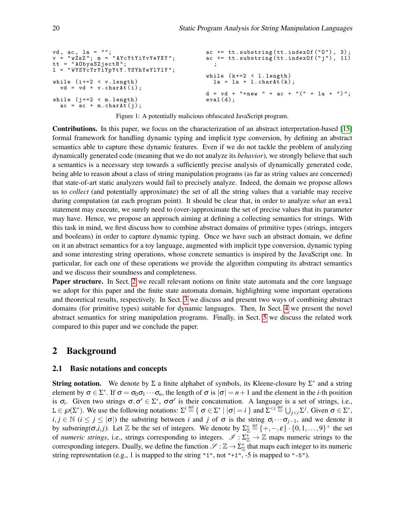<span id="page-1-0"></span>

| $vd$ , ac, la = "";<br>$v = "wZsZ"; m = "AYcYtYiYvYeYXY";$                    | $ac += tt.substring(tt.indexOf("0"), 3);$<br>$ac += tt.substring(tt.indexOf("i"), 11)$ |
|-------------------------------------------------------------------------------|----------------------------------------------------------------------------------------|
| $tt = "A0byaSZjectB";$<br>$1 = "WYSYcYrYiYpYtY.YSYhYeYlYlY",$                 |                                                                                        |
|                                                                               | while $(k+=2 < 1.length)$                                                              |
| while $(i+=2 < v.length)$<br>$vd = vd + v \cdot chart(i);$                    | $la = la + l.charAt(k);$                                                               |
|                                                                               | $d = v d + "= new " + ac + "(" + la + ")"$                                             |
| while $(i+=2 < m.length)$<br>$\alpha c = \alpha c + m \cdot \text{chart}(i);$ | $eval(d)$ ;                                                                            |

Figure 1: A potentially malicious obfuscated JavaScript program.

Contributions. In this paper, we focus on the characterization of an abstract interpretation-based [\[15\]](#page-13-0) formal framework for handling dynamic typing and implicit type conversion, by defining an abstract semantics able to capture these dynamic features. Even if we do not tackle the problem of analyzing dynamically generated code (meaning that we do not analyze its *behavior*), we strongly believe that such a semantics is a necessary step towards a sufficiently precise analysis of dynamically generated code, being able to reason about a class of string manipulation programs (as far as string values are concerned) that state-of-art static analyzers would fail to precisely analyze. Indeed, the domain we propose allows us to *collect* (and potentially approximate) the set of all the string values that a variable may receive during computation (at each program point). It should be clear that, in order to analyze *what* an eval statement may execute, we surely need to (over-)approximate the set of precise values that its parameter may have. Hence, we propose an approach aiming at defining a collecting semantics for strings. With this task in mind, we first discuss how to combine abstract domains of primitive types (strings, integers and booleans) in order to capture dynamic typing. Once we have such an abstract domain, we define on it an abstract semantics for a toy language, augmented with implicit type conversion, dynamic typing and some interesting string operations, whose concrete semantics is inspired by the JavaScript one. In particular, for each one of these operations we provide the algorithm computing its abstract semantics and we discuss their soundness and completeness.

**Paper structure.** In Sect. [2](#page-1-1) we recall relevant notions on finite state automata and the core language we adopt for this paper and the finite state automata domain, highlighting some important operations and theoretical results, respectively. In Sect. [3](#page-4-0) we discuss and present two ways of combining abstract domains (for primitive types) suitable for dynamic languages. Then, In Sect. [4](#page-5-0) we present the novel abstract semantics for string manipulation programs. Finally, in Sect. [5](#page-11-0) we discuss the related work compared to this paper and we conclude the paper.

## <span id="page-1-1"></span>2 Background

#### 2.1 Basic notations and concepts

**String notation.** We denote by  $\Sigma$  a finite alphabet of symbols, its Kleene-closure by  $\Sigma^*$  and a string element by  $\sigma \in \Sigma^*$ . If  $\sigma = \sigma_0 \sigma_1 \cdots \sigma_n$ , the length of  $\sigma$  is  $|\sigma| = n + 1$  and the element in the *i*-th position is  $\sigma_i$ . Given two strings  $\sigma, \sigma' \in \Sigma^*$ ,  $\sigma \sigma'$  is their concatenation. A language is a set of strings, i.e.,  $L \in \mathcal{O}(\Sigma^*)$ . We use the following notations:  $\Sigma^i \stackrel{\text{def}}{=} \{ \sigma \in \Sigma^* \mid |\sigma| = i \}$  and  $\Sigma^{< i} \stackrel{\text{def}}{=} \bigcup_{j < i} \Sigma^j$ . Given  $\sigma \in \Sigma^*$ ,  $i, j \in \mathbb{N}$  ( $i \leq j \leq |\sigma|$ ) the substring between *i* and *j* of  $\sigma$  is the string  $\sigma_i \cdots \sigma_{j-1}$ , and we denote it by substring( $\sigma, i, j$ ). Let  $\mathbb{Z}$  be the set of integers. We denote by  $\Sigma^*_{\mathbb{Z}} \stackrel{\text{def}}{=} \{+,-,\varepsilon\} \cdot \{0,1,\ldots,9\}^+$  the set of *numeric strings*, i.e., strings corresponding to integers.  $\mathscr{I}: \Sigma^*_{\mathbb{Z}} \to \mathbb{Z}$  maps numeric strings to the corresponding integers. Dually, we define the function  $\mathscr{S}:\mathbb{Z}\to\Sigma_\mathbb{Z}^*$  that maps each integer to its numeric string representation (e.g., 1 is mapped to the string "1", not "+1", -5 is mapped to "-5").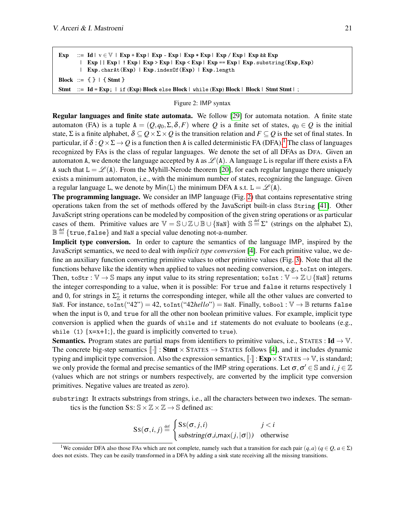<span id="page-2-1"></span>Exp ::= Id  $|v \in V|$  Exp + Exp | Exp - Exp | Exp \* Exp | Exp / Exp | Exp && Exp | Exp || Exp | ! Exp | Exp > Exp | Exp < Exp | Exp == Exp | Exp.substring(Exp, Exp) | Exp.charAt(Exp) | Exp.indexOf(Exp) | Exp.length Block ::=  $\{\}$  |  $\{$  Stmt  $\}$ Stmt ::= Id = Exp; | if (Exp) Block else Block | while (Exp) Block | Block | Stmt Stmt | ;

#### Figure 2: IMP syntax

Regular languages and finite state automata. We follow [\[29\]](#page-14-7) for automata notation. A finite state automaton (FA) is a tuple  $A = (Q, q_0, \Sigma, \delta, F)$  where Q is a finite set of states,  $q_0 \in Q$  is the initial state, Σ is a finite alphabet,  $\delta \subseteq Q \times \Sigma \times Q$  is the transition relation and  $F \subseteq Q$  is the set of final states. In particular, if  $\delta: Q \times \Sigma \to Q$  is a function then A is called deterministic FA (DFA).<sup>[1](#page-2-0)</sup> The class of languages recognized by FAs is the class of regular languages. We denote the set of all DFAs as DFA. Given an automaton A, we denote the language accepted by A as  $\mathcal{L}(A)$ . A language L is regular iff there exists a FA A such that  $L = \mathcal{L}(A)$ . From the Myhill-Nerode theorem [\[20\]](#page-13-1), for each regular language there uniquely exists a minimum automaton, i.e., with the minimum number of states, recognizing the language. Given a regular language L, we denote by  $Min(L)$  the minimum DFA A s.t.  $L = \mathcal{L}(A)$ .

The programming language. We consider an IMP language (Fig. [2\)](#page-2-1) that contains representative string operations taken from the set of methods offered by the JavaScript built-in class String [\[41\]](#page-14-8). Other JavaScript string operations can be modeled by composition of the given string operations or as particular cases of them. Primitive values are  $\mathbb{V} = \mathbb{S} \cup \mathbb{Z} \cup \mathbb{B} \cup \{\text{NaN}\}\$  with  $\mathbb{S} \stackrel{\text{def}}{=} \Sigma^*$  (strings on the alphabet  $\Sigma$ ),  $\mathbb{B} \stackrel{\text{\tiny def}}{=} \{\mathtt{true},\mathtt{false}\}$  and NaN a special value denoting not-a-number.

Implicit type conversion. In order to capture the semantics of the language IMP, inspired by the JavaScript semantics, we need to deal with *implicit type conversion* [\[4\]](#page-13-2). For each primitive value, we define an auxiliary function converting primitive values to other primitive values (Fig. [3\)](#page-3-0). Note that all the functions behave like the identity when applied to values not needing conversion, e.g., toInt on integers. Then, toStr :  $\mathbb{V} \to \mathbb{S}$  maps any input value to its string representation; toInt :  $\mathbb{V} \to \mathbb{Z} \cup \{\text{NaN}\}$  returns the integer corresponding to a value, when it is possible: For true and false it returns respectively 1 and 0, for strings in  $\Sigma^*_{\mathbb{Z}}$  it returns the corresponding integer, while all the other values are converted to NaN. For instance,  $\text{toInt}("42") = 42$ ,  $\text{toInt}("42\text{hello"}) = \text{NaN}$ . Finally,  $\text{toBool}: \mathbb{V} \to \mathbb{B}$  returns false when the input is 0, and true for all the other non boolean primitive values. For example, implicit type conversion is applied when the guards of while and if statements do not evaluate to booleans (e.g., while (1)  $\{x=x+1;\}$ , the guard is implicitly converted to true).

**Semantics.** Program states are partial maps from identifiers to primitive values, i.e., STATES :  $\text{Id} \rightarrow \mathbb{V}$ . The concrete big-step semantics  $\|\cdot\|$ : **Stmt**  $\times$  STATES  $\rightarrow$  STATES follows [\[4\]](#page-13-2), and it includes dynamic typing and implicit type conversion. Also the expression semantics,  $\llbracket \cdot \rrbracket$ :  $\text{Exp} \times \text{STATES} \rightarrow \mathbb{V}$ , is standard; we only provide the formal and precise semantics of the IMP string operations. Let  $\sigma, \sigma' \in \mathbb{S}$  and  $i, j \in \mathbb{Z}$ (values which are not strings or numbers respectively, are converted by the implicit type conversion primitives. Negative values are treated as zero).

substring: It extracts substrings from strings, i.e., all the characters between two indexes. The semantics is the function Ss:  $\mathbb{S} \times \mathbb{Z} \times \mathbb{Z} \to \mathbb{S}$  defined as:

$$
SS(\sigma, i, j) \stackrel{\text{def}}{=} \begin{cases} SS(\sigma, j, i) & j < i \\ \text{substring}(\sigma, i, \max(j, |\sigma|)) & \text{otherwise} \end{cases}
$$

<span id="page-2-0"></span><sup>&</sup>lt;sup>1</sup>We consider DFA also those FAs which are not complete, namely such that a transition for each pair  $(q, a)$  ( $q \in Q$ ,  $a \in \Sigma$ ) does not exists. They can be easily transformed in a DFA by adding a sink state receiving all the missing transitions.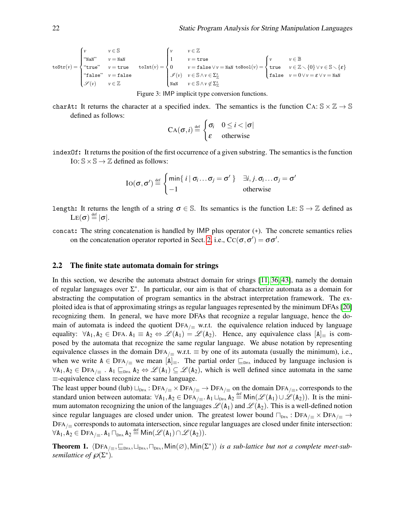<span id="page-3-0"></span>
$$
\text{toStr}(v) = \begin{cases} v & v \in \mathbb{S} \\ \text{``Nah''} & v = \text{Nah} \\ \text{``true''} & v = \text{true} \\ \text{``false''} & v = \text{false} \\ \mathcal{S}(v) & v \in \mathbb{Z} \end{cases} \quad \text{toInt}(v) = \begin{cases} v & v \in \mathbb{Z} \\ 1 & v = \text{true} \\ 0 & v = \text{false} \lor v = \text{Nah} \\ v = \text{false} \lor v = \text{Nah} \text{ to} \\ \mathcal{S}(v) & v \in \mathbb{S} \land v \in \Sigma_{\mathbb{Z}}^* \\ \text{Nah} & v \in \mathbb{S} \land v \notin \Sigma_{\mathbb{Z}}^* \end{cases} \quad \text{and} \quad \text{to} \quad v = \mathbb{Z} \setminus \{0\} \lor v \in \mathbb{S} \setminus \{\epsilon\}
$$

Figure 3: IMP implicit type conversion functions.

charAt: It returns the character at a specified index. The semantics is the function CA:  $\mathbb{S} \times \mathbb{Z} \to \mathbb{S}$ defined as follows:

$$
CA(\sigma, i) \stackrel{\text{def}}{=} \begin{cases} \sigma_i & 0 \leq i < |\sigma| \\ \varepsilon & \text{otherwise} \end{cases}
$$

indexOf: It returns the position of the first occurrence of a given substring. The semantics is the function IO:  $\mathbb{S} \times \mathbb{S} \rightarrow \mathbb{Z}$  defined as follows:

$$
\mathrm{IO}(\sigma, \sigma') \stackrel{\text{def}}{=} \begin{cases} \min\{ i \mid \sigma_i \dots \sigma_j = \sigma' \} & \exists i, j \dots \sigma_i = \sigma' \\ -1 & \text{otherwise} \end{cases}
$$

- length: It returns the length of a string  $\sigma \in \mathbb{S}$ . Its semantics is the function LE:  $\mathbb{S} \to \mathbb{Z}$  defined as  $\text{LE}(\bm{\sigma}) \stackrel{\text{def}}{=} |\bm{\sigma}|.$
- concat: The string concatenation is handled by IMP plus operator (+). The concrete semantics relies on the concatenation operator reported in Sect. [2,](#page-1-1) i.e.,  $\text{CC}(\sigma, \sigma') = \sigma \sigma'$ .

#### 2.2 The finite state automata domain for strings

In this section, we describe the automata abstract domain for strings [\[11,](#page-13-3) [36,](#page-14-9) [43\]](#page-14-10), namely the domain of regular languages over  $\Sigma^*$ . In particular, our aim is that of characterize automata as a domain for abstracting the computation of program semantics in the abstract interpretation framework. The exploited idea is that of approximating strings as regular languages represented by the minimum DFAs [\[20\]](#page-13-1) recognizing them. In general, we have more DFAs that recognize a regular language, hence the domain of automata is indeed the quotient DFA $_{/}$  w.r.t. the equivalence relation induced by language equality:  $\forall A_1, A_2 \in \text{DFA}. A_1 \equiv A_2 \Leftrightarrow \mathscr{L}(A_1) = \mathscr{L}(A_2)$ . Hence, any equivalence class  $[A]_{\equiv}$  is composed by the automata that recognize the same regular language. We abuse notation by representing equivalence classes in the domain DFA<sub>/≡</sub> w.r.t.  $\equiv$  by one of its automata (usually the minimum), i.e., when we write  $A \in \text{DFA}_{\ell}$  we mean  $[A]_{\equiv}$ . The partial order  $\subseteq_{\text{DFA}}$  induced by language inclusion is  $\forall A_1, A_2 \in \text{DFA}_{\perp}$ .  $A_1 \sqsubseteq_{\text{DFA}} A_2 \Leftrightarrow \mathscr{L}(A_1) \subseteq \mathscr{L}(A_2)$ , which is well defined since automata in the same ≡-equivalence class recognize the same language.

The least upper bound (lub)  $\Box_{DFA}$ : DFA<sub>/≡</sub> × DFA<sub>/≡</sub> → DFA<sub>/≡</sub> on the domain DFA<sub>/≡</sub>, corresponds to the standard union between automata:  $\forall A_1, A_2 \in \text{DFA}_{/} \equiv A_1 \sqcup_{\text{DFA}} A_2 \stackrel{\text{def}}{=} \text{Min}(\mathscr{L}(A_1) \cup \mathscr{L}(A_2)).$  It is the minimum automaton recognizing the union of the languages  $\mathcal{L}(A_1)$  and  $\mathcal{L}(A_2)$ . This is a well-defined notion since regular languages are closed under union. The greatest lower bound  $\Box_{DRA}$ : DFA $/_{\equiv}$   $\times$  DFA $/_{\equiv}$   $\rightarrow$  $DFA/~\equiv$  corresponds to automata intersection, since regular languages are closed under finite intersection:  $\forall A_1, A_2 \in \mathrm{DFA}_{/w} = A_1 \sqcap_{\mathrm{DFA}} A_2 \stackrel{\text{def}}{=} \mathsf{Min}(\mathscr{L}(A_1) \cap \mathscr{L}(A_2)).$ 

<span id="page-3-1"></span>**Theorem 1.**  $\langle DFA_{/} \equiv, \sqsubseteq_{DFA}, \sqcup_{DFA}, \sqcap_{DFA}, Min(\varnothing), Min(\Sigma^*) \rangle$  *is a sub-lattice but not a complete meet-subsemilattice of*  $\mathscr{D}(\Sigma^*)$ .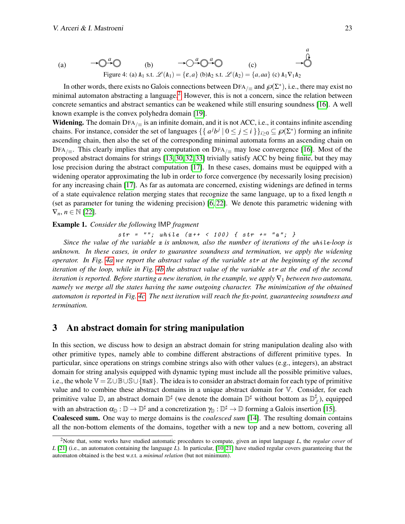<span id="page-4-2"></span>(a) 
$$
\longrightarrow \bigcirc \xrightarrow{a} \bigcirc
$$
 (b)  $\longrightarrow \bigcirc \xrightarrow{a} \bigcirc \xrightarrow{a}$  (c)  $\longrightarrow \bigcirc$   
Figure 4: (a) A<sub>1</sub> s.t.  $\mathcal{L}(A_1) = \{\varepsilon, a\}$  (b) A<sub>2</sub> s.t.  $\mathcal{L}(A_2) = \{a, aa\}$  (c) A<sub>1</sub> V<sub>1</sub>A<sub>2</sub>

In other words, there exists no Galois connections between DFA<sub>/≡</sub> and  $\mathscr{D}(\Sigma^*)$ , i.e., there may exist no minimal automaton abstracting a language.<sup>[2](#page-4-1)</sup> However, this is not a concern, since the relation between concrete semantics and abstract semantics can be weakened while still ensuring soundness [\[16\]](#page-13-4). A well known example is the convex polyhedra domain [\[19\]](#page-13-5).

Widening. The domain DFA $_{/}$  is an infinite domain, and it is not ACC, i.e., it contains infinite ascending chains. For instance, consider the set of languages  $\{ \{ a^j b^j \mid 0 \le j \le i \} \}_{i \ge 0} \subseteq \mathcal{O}(\Sigma^*)$  forming an infinite ascending chain, then also the set of the corresponding minimal automata forms an ascending chain on DFA<sub>/≡</sub>. This clearly implies that any computation on DFA<sub>/≡</sub> may lose convergence [\[16\]](#page-13-4). Most of the proposed abstract domains for strings [\[13,](#page-13-6) [30,](#page-14-4) [32,](#page-14-5) [33\]](#page-14-6) trivially satisfy ACC by being finite, but they may lose precision during the abstract computation [\[17\]](#page-13-7). In these cases, domains must be equipped with a widening operator approximating the lub in order to force convergence (by necessarily losing precision) for any increasing chain [\[17\]](#page-13-7). As far as automata are concerned, existing widenings are defined in terms of a state equivalence relation merging states that recognize the same language, up to a fixed length *n* (set as parameter for tuning the widening precision) [\[6,](#page-13-8) [22\]](#page-13-9). We denote this parametric widening with  $\nabla_n, n \in \mathbb{N}$  [\[22\]](#page-13-9).

#### Example 1. *Consider the following* IMP *fragment*

str = ""; while  $(x++$  < 100) { str += "a"; }

*Since the value of the variable*  $x$  *is unknown, also the number of iterations of the while-loop is unknown. In these cases, in order to guarantee soundness and termination, we apply the widening operator. In Fig. [4a](#page-4-2) we report the abstract value of the variable* str *at the beginning of the second iteration of the loop, while in Fig. [4b](#page-4-2) the abstract value of the variable* str *at the end of the second iteration is reported. Before starting a new iteration, in the example, we apply* ∇<sup>1</sup> *between two automata, namely we merge all the states having the same outgoing character. The minimization of the obtained automaton is reported in Fig. [4c.](#page-4-2) The next iteration will reach the fix-point, guaranteeing soundness and termination.*

### <span id="page-4-0"></span>3 An abstract domain for string manipulation

In this section, we discuss how to design an abstract domain for string manipulation dealing also with other primitive types, namely able to combine different abstractions of different primitive types. In particular, since operations on strings combine strings also with other values (e.g., integers), an abstract domain for string analysis equipped with dynamic typing must include all the possible primitive values, i.e., the whole V = Z∪B∪S∪{NaN}. The idea is to consider an abstract domain for each type of primitive value and to combine these abstract domains in a unique abstract domain for  $\nabla$ . Consider, for each primitive value D, an abstract domain  $\mathbb{D}^{\sharp}$  (we denote the domain  $\mathbb{D}^{\sharp}$  without bottom as  $\mathbb{D}^{\sharp}$  $\downarrow^{\mu}$ ), equipped with an abstraction  $\alpha_{\mathbb{D}} : \mathbb{D} \to \mathbb{D}^{\sharp}$  and a concretization  $\gamma_{\mathbb{D}} : \mathbb{D}^{\sharp} \to \mathbb{D}$  forming a Galois insertion [\[15\]](#page-13-0). Coalesced sum. One way to merge domains is the *coalesced sum* [\[14\]](#page-13-10). The resulting domain contains all the non-bottom elements of the domains, together with a new top and a new bottom, covering all

<span id="page-4-1"></span><sup>2</sup>Note that, some works have studied automatic procedures to compute, given an input language *L*, the *regular cover* of *L* [\[21\]](#page-13-11) (i.e., an automaton containing the language *L*). In particular, [\[10,](#page-13-12) [21\]](#page-13-11) have studied regular covers guaranteeing that the automaton obtained is the best w.r.t. a *minimal relation* (but not minimum).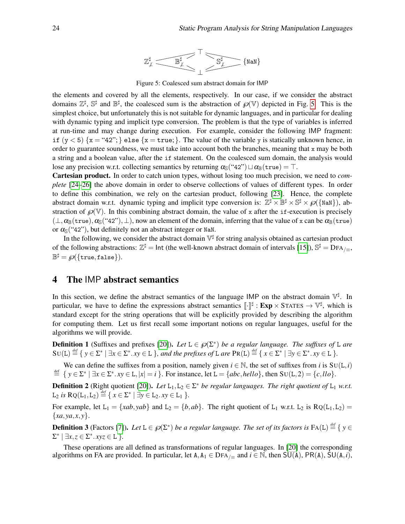

Figure 5: Coalesced sum abstract domain for IMP

<span id="page-5-1"></span>the elements and covered by all the elements, respectively. In our case, if we consider the abstract domains  $\mathbb{Z}^{\sharp}$ ,  $\mathbb{S}^{\sharp}$  and  $\mathbb{B}^{\sharp}$ , the coalesced sum is the abstraction of  $\mathscr{D}(\mathbb{V})$  depicted in Fig. [5.](#page-5-1) This is the simplest choice, but unfortunately this is not suitable for dynamic languages, and in particular for dealing with dynamic typing and implicit type conversion. The problem is that the type of variables is inferred at run-time and may change during execution. For example, consider the following IMP fragment: if  $(y < 5)$   $\{x = "42";\}$  else  $\{x = true;\}$ . The value of the variable y is statically unknown hence, in order to guarantee soundness, we must take into account both the branches, meaning that x may be both a string and a boolean value, after the if statement. On the coalesced sum domain, the analysis would lose any precision w.r.t. collecting semantics by returning  $\alpha_{\mathbb{S}}$ ("42")  $\Box \alpha_{\mathbb{B}}(\text{true}) = \top$ .

Cartesian product. In order to catch union types, without losing too much precision, we need to *complete* [\[24](#page-13-13)[–26\]](#page-14-11) the above domain in order to observe collections of values of different types. In order to define this combination, we rely on the cartesian product, following [\[23\]](#page-13-14). Hence, the complete abstract domain w.r.t. dynamic typing and implicit type conversion is:  $\mathbb{Z}^{\sharp} \times \mathbb{B}^{\sharp} \times \mathbb{S}^{\sharp} \times \mathcal{O}(\{\text{NaN}\}),$  abstraction of  $\mathcal{O}(\mathbb{V})$ . In this combining abstract domain, the value of x after the if-execution is precisely  $(\perp, \alpha_{\mathbb{B}}(\text{true}), \alpha_{\mathbb{S}}(\text{``42''}), \perp)$ , now an element of the domain, inferring that the value of x can be  $\alpha_{\mathbb{B}}(\text{true})$ or  $\alpha_{\mathbb{S}}$  ("42"), but definitely not an abstract integer or NaN.

In the following, we consider the abstract domain  $V^{\sharp}$  for string analysis obtained as cartesian product of the following abstractions:  $\mathbb{Z}^{\sharp} = \text{Int}$  (the well-known abstract domain of intervals [\[15\]](#page-13-0)),  $\mathbb{S}^{\sharp} = \text{DFA}_{/\equiv}$ ,  $\mathbb{B}^{\sharp} = \wp(\{\mathtt{true},\mathtt{false}\}).$ 

## <span id="page-5-0"></span>4 The IMP abstract semantics

In this section, we define the abstract semantics of the language IMP on the abstract domain  $\nabla^{\sharp}$ . In particular, we have to define the expressions abstract semantics  $\llbracket \cdot \rrbracket^{\sharp} : \mathbf{Exp} \times \text{STATES} \to \mathbb{V}^{\sharp}$ , which is standard except for the string operations that will be explicitly provided by describing the algorithm for computing them. Let us first recall some important notions on regular languages, useful for the algorithms we will provide.

**Definition 1** (Suffixes and prefixes [\[20\]](#page-13-1)). Let  $L \in \mathcal{D}(\Sigma^*)$  be a regular language. The suffixes of L are  $SU(L) \stackrel{\text{def}}{=} \{ y \in \Sigma^* \mid \exists x \in \Sigma^*. xy \in L \}$ , and the prefixes of L are  $\text{Pr}(L) \stackrel{\text{def}}{=} \{ x \in \Sigma^* \mid \exists y \in \Sigma^*. xy \in L \}$ .

We can define the suffixes from a position, namely given  $i \in \mathbb{N}$ , the set of suffixes from *i* is  $SU(L, i)$  $\stackrel{\text{def}}{=} \{ y \in \Sigma^* \mid \exists x \in \Sigma^*. xy \in L, |x| = i \}.$  For instance, let  $L = \{abc, hello\}$ , then  $SU(L, 2) = \{c, llo\}.$ 

**Definition 2** (Right quotient [\[20\]](#page-13-1)). Let  $L_1, L_2 \in \Sigma^*$  be regular languages. The right quotient of  $L_1$  w.r.t.  $L_2$  *is*  $RQ(L_1, L_2) \stackrel{\text{def}}{=} \{ x \in \Sigma^* \mid \exists y \in L_2 \ldotp xy \in L_1 \}$ .

For example, let  $L_1 = \{xab, yab\}$  and  $L_2 = \{b, ab\}$ . The right quotient of  $L_1$  w.r.t.  $L_2$  is  $RQ(L_1, L_2)$  ${xa, ya, x, y}.$ 

**Definition 3** (Factors [\[7\]](#page-13-15)). Let  $L \in \mathcal{D}(\Sigma^*)$  be a regular language. The set of its factors is  $FA(L) \stackrel{\text{def}}{=} \{y \in L\}$  $\Sigma^*$  |  $\exists x, z \in \Sigma^* . xyz \in \mathbb{L}$  }.

These operations are all defined as transformations of regular languages. In [\[20\]](#page-13-1) the corresponding algorithms on FA are provided. In particular, let  $A, A_1 \in \text{DFA}_{/}$  and  $i \in \mathbb{N}$ , then SU(A), PR(A), SU(A,*i*),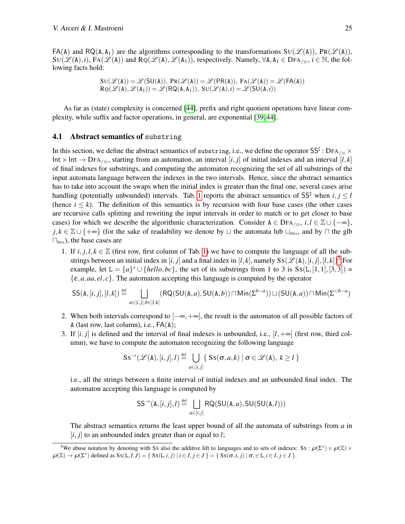$FA(A)$  and  $RQ(A, A_1)$  are the algorithms corresponding to the transformations  $SU(\mathscr{L}(A))$ ,  $PR(\mathscr{L}(A))$ ,  $\text{SU}(\mathscr{L}(\text{A}),i)$ ,  $\text{FA}(\mathscr{L}(\text{A}))$  and  $\text{RQ}(\mathscr{L}(\text{A}),\mathscr{L}(\text{A}_1))$ , respectively. Namely,  $\forall$ A,  $A_1 \in \text{DFA}_{\ell=1}$ ,  $i \in \mathbb{N}$ , the following facts hold:

$$
SU(\mathcal{L}(A)) = \mathcal{L}(SU(A)), PR(\mathcal{L}(A)) = \mathcal{L}(PR(A)), FA(\mathcal{L}(A)) = \mathcal{L}(FA(A))
$$
  

$$
RQ(\mathcal{L}(A), \mathcal{L}(A_1)) = \mathcal{L}(RQ(A, A_1)), SU(\mathcal{L}(A), i) = \mathcal{L}(SU(A, i))
$$

As far as (state) complexity is concerned [\[44\]](#page-14-12), prefix and right quotient operations have linear complexity, while suffix and factor operations, in general, are exponential [\[39,](#page-14-13) [44\]](#page-14-12).

#### 4.1 Abstract semantics of substring

In this section, we define the abstract semantics of substring, i.e., we define the operator SS‡ : DFA  $/$   $\equiv$   $\times$ Int × Int → DFA<sub>/≡</sub>, starting from an automaton, an interval [*i*, *j*] of initial indexes and an interval [*l*, *k*] of final indexes for substrings, and computing the automaton recognizing the set of all substrings of the input automata language between the indexes in the two intervals. Hence, since the abstract semantics has to take into account the swaps when the initial index is greater than the final one, several cases arise handling (potentially unbounded) intervals. Tab. [1](#page-7-0) reports the abstract semantics of  $SS^{\sharp}$  when  $i, j \leq l$ (hence  $i \leq k$ ). The definition of this semantics is by recursion with four base cases (the other cases are recursive calls splitting and rewriting the input intervals in order to match or to get closer to base cases) for which we describe the algorithmic characterization. Consider  $A \in \text{DFA}_{/=}$ ,  $i, l \in \mathbb{Z} \cup \{-\infty\}$ , *j*,  $k \in \mathbb{Z} \cup \{+\infty\}$  (for the sake of readability we denote by  $\sqcup$  the automata lub  $\sqcup_{\text{DFA}}$ , and by  $\sqcap$  the glb  $\square_{\text{DFA}}$ ), the base cases are

1. If  $i, j, l, k \in \mathbb{Z}$  (first row, first column of Tab. [1\)](#page-7-0) we have to compute the language of all the substrings between an initial index in  $[i, j]$  and a final index in  $[l, k]$ , namely  $SS(\mathscr{L}(A), [i, j], [l, k])^3$  $SS(\mathscr{L}(A), [i, j], [l, k])^3$ . For example, let  $L = \{a\}^* \cup \{hello, bc\}$ , the set of its substrings from 1 to 3 is  $Ss(L, [1, 1], [3, 3])$  $\{\varepsilon, a, aa, el, c\}$ . The automaton accepting this language is computed by the operator

$$
\mathsf{SS}(\mathtt{A},[i,j],[l,k]) \stackrel{\text{def}}{=} \bigsqcup_{a \in [i,j], b \in [l,k]} (\mathsf{RQ}(\mathsf{SU}(\mathtt{A},a),\mathsf{SU}(\mathtt{A},b)) \sqcap \mathsf{Min}(\Sigma^{b-a})) \sqcup (\mathsf{SU}(\mathtt{A},a)) \sqcap \mathsf{Min}(\Sigma^{<}-a)
$$

- 2. When both intervals correspond to  $[-\infty, +\infty]$ , the result is the automaton of all possible factors of A (last row, last column), i.e.,  $FA(A)$ ;
- 3. If  $[i, j]$  is defined and the interval of final indexes is unbounded, i.e.,  $[l, +\infty]$  (first row, third column), we have to compute the automaton recognizing the following language

$$
SS^{\rightarrow}(\mathscr{L}(A), [i, j], l) \stackrel{\text{def}}{=} \bigcup_{a \in [i, j]} \{ SS(\sigma, a, k) \mid \sigma \in \mathscr{L}(A), k \ge l \}
$$

i.e., all the strings between a finite interval of initial indexes and an unbounded final index. The automaton accepting this language is computed by

$$
\mathsf{SS}^{\rightarrow}(\mathsf{A},[i,j],l) \stackrel{\text{def}}{=} \bigsqcup_{a \in [i,j]} \mathsf{RQ}(\mathsf{SU}(\mathsf{A},a),\mathsf{SU}(\mathsf{SU}(\mathsf{A},l)))
$$

The abstract semantics returns the least upper bound of all the automata of substrings from *a* in  $[i, j]$  to an unbounded index greater than or equal to *l*;

<span id="page-6-0"></span><sup>&</sup>lt;sup>3</sup>We abuse notation by denoting with Ss also the additive lift to languages and to sets of indexes: Ss:  $\mathcal{P}(\Sigma^*) \times \mathcal{P}(\mathbb{Z}) \times$  $\wp(\mathbb{Z}) \to \wp(\Sigma^*)$  defined as  $SS(L, I, J) = \{ SS(L, i, j) | i \in I, j \in J \} = \{ SS(\sigma, i, j) | \sigma \in L, i \in I, j \in J \}.$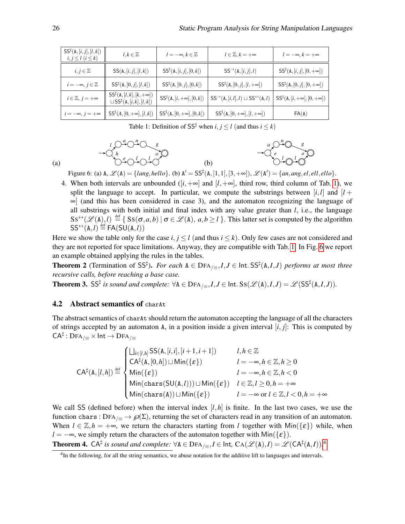<span id="page-7-0"></span>

| $\mathsf{SS}^\sharp(\mathtt{A},[i,j],[l,k])$<br>$i, j \leq l \ (i \leq k)$ | $l, k \in \mathbb{Z}$                                                                                                                                    | $l = -\infty, k \in \mathbb{Z}$                          | $l\in\mathbb{Z}, k=+\infty$                                                                       | $l = -\infty, k = +\infty$                               |
|----------------------------------------------------------------------------|----------------------------------------------------------------------------------------------------------------------------------------------------------|----------------------------------------------------------|---------------------------------------------------------------------------------------------------|----------------------------------------------------------|
| $i, j \in \mathbb{Z}$                                                      | SS(A, [i, j], [l, k])                                                                                                                                    | $\mathsf{SS}^{\sharp}(\mathsf{A}, [i, j], [0, k])$       | $\textsf{SS}^{\rightarrow}(\mathtt{A},[i,j],l)$                                                   | $\mathsf{SS}^\sharp(\mathtt{A},[i,j],[0,+\infty])$       |
| $i = -\infty, j \in \mathbb{Z}$                                            | $SS^{\sharp}(A, [0, j], [l, k])$                                                                                                                         | $\mathsf{SS}^{\sharp}(\mathtt{A}, [0,j], [0,k])$         | $SS^{\sharp}(A, [0, j], [l, +\infty])$                                                            | $\mathsf{SS}^\sharp(\mathtt{A},[0,j],[0,+\infty])$       |
| $i\in\mathbb{Z},\,j=+\infty$                                               | $\mathsf{SS}^\sharp(\mathtt{A},[l,k],[k,+\infty])$<br>$\mathsf{SS}^\sharp(\mathtt{A},[i,+\infty],[0,k])$<br>$\sqcup$ SS <sup>‡</sup> (A, [i, k], [l, k]) |                                                          | $\mathsf{SS}^{\rightarrow}(\mathtt{A},[i,l],l)\sqcup \mathsf{SS}^{\leftrightarrow}(\mathtt{A},l)$ | $\mathsf{SS}^\sharp(\mathtt{A},[i,+\infty],[0,+\infty])$ |
| $i=-\infty,\,j=+\infty$                                                    | $SS^{\sharp}(A,[0,+\infty],[l,k])$                                                                                                                       | $\mathsf{SS}^{\sharp}(\mathtt{A}, [0, +\infty], [0, k])$ | $SS^{\sharp}(A, [0, +\infty], [l, +\infty])$                                                      | FA(A)                                                    |

Table 1: Definition of  $SS^{\sharp}$  when *i*, *j*  $\leq l$  (and thus *i*  $\leq k$ )

$$
\begin{array}{ccc}\n & I & \bigcirc^a & \bigcirc^n & S \\
\hline\n\bigcirc^h & & \bigcirc^b & \bigcirc^b & \bigcirc \\
\hline\n\bigcirc^e & \bigcirc^1 & \bigcirc^1 & \bigcirc^2 & \bigcirc\n\end{array}
$$

$$
\begin{array}{c}\n a \bigcirc^n \mathbb{O} \longrightarrow \mathcal{S} \\
 \hline\n \bigcirc^n e \bigcirc^n \mathbb{O} \longrightarrow \mathcal{S} \\
 \hline\n \bigcirc^n \mathbb{O} \longrightarrow \mathcal{O} \\
 \end{array}
$$

<span id="page-7-1"></span>(a)

Figure 6: (a)  $A, \mathcal{L}(A) = \{lang, hello\}$ . (b)  $A' = SS^{\sharp}(A, [1,1], [3, +\infty])$ ,  $\mathcal{L}(A') = \{an, ang, el, ell, ello\}$ .

4. When both intervals are unbounded ( $[i, +\infty]$  and  $[l, +\infty]$ , third row, third column of Tab. [1\)](#page-7-0), we split the language to accept. In particular, we compute the substrings between  $[i, l]$  and  $[l +$ ∞] (and this has been considered in case 3), and the automaton recognizing the language of all substrings with both initial and final index with any value greater than *l*, i.e., the language  $SS^{\leftrightarrow}(\mathscr{L}(A),l) \stackrel{\text{def}}{=} \{ SS(\sigma,a,b) | \sigma \in \mathscr{L}(A), a,b \geq l \}$ . This latter set is computed by the algorithm  $SS^{\leftrightarrow}(A, l) \stackrel{\text{def}}{=} FA(SU(A, l))$ 

(b)

Here we show the table only for the case  $i, j \leq l$  (and thus  $i \leq k$ ). Only few cases are not considered and they are not reported for space limitations. Anyway, they are compatible with Tab. [1.](#page-7-0) In Fig. [6](#page-7-1) we report an example obtained applying the rules in the tables.

**Theorem 2** (Termination of SS<sup>‡</sup>). *For each*  $A ∈ \text{DFA}_{/≡}, I, J ∈ \text{Int. SS}$ <sup>‡</sup>( $A, I, J$ ) *performs at most three recursive calls, before reaching a base case.*

**Theorem 3.** SS<sup>‡</sup> is sound and complete: ∀A ∈ DFA<sub>/≡</sub>, $I, J$  ∈ Int. SS( $\mathscr{L}(\mathbb{A}), I, J$ ) =  $\mathscr{L}(\mathsf{SS}^\sharp(\mathbb{A}, I, J))$ .

#### 4.2 Abstract semantics of charAt

The abstract semantics of charAt should return the automaton accepting the language of all the characters of strings accepted by an automaton A, in a position inside a given interval  $[i, j]$ : This is computed by  $\mathsf{CA}^\sharp:\mathsf{DFA}_{/\equiv}\times\mathsf{Int}\to\mathsf{DFA}_{/\equiv}$ 

$$
CA^{\sharp}(A,[l,h]) \stackrel{\text{def}}{=} \begin{cases} \Box_{i\in[l,h]}SS(A,[i,i],[i+1,i+1]) & l,h\in\mathbb{Z} \\ CA^{\sharp}(A,[0,h])\sqcup \mathrm{Min}(\{\varepsilon\}) & l=-\infty, h\in\mathbb{Z}, h\geq 0 \\ \mathrm{Min}(\{\varepsilon\}) & l=-\infty, h\in\mathbb{Z}, h<0 \\ \mathrm{Min}(\mathrm{chars}(SU(A,l)))\sqcup \mathrm{Min}(\{\varepsilon\}) & l\in\mathbb{Z}, l\geq 0, h=+\infty \\ \mathrm{Min}(\mathrm{chars}(A))\sqcup \mathrm{Min}(\{\varepsilon\}) & l=-\infty \text{ or } l\in\mathbb{Z}, l<0, h=+\infty \end{cases}
$$

We call SS (defined before) when the interval index  $[I, h]$  is finite. In the last two cases, we use the function chars : DFA<sub>/ $\equiv \rightarrow \mathcal{P}(\Sigma)$ , returning the set of characters read in any transition of an automaton.</sub> When  $l \in \mathbb{Z}, h = +\infty$ , we return the characters starting from *l* together with Min({ $\varepsilon$ }) while, when *l* = −∞, we simply return the characters of the automaton together with Min( $\{\varepsilon\}$ ).

Theorem [4](#page-7-2).  $CA^{\sharp}$  is sound and complete:  $\forall A \in DFA_{/\equiv}, I \in Int$ ,  $CA(\mathscr{L}(A), I) = \mathscr{L}(CA^{\sharp}(A, I)).^4$ 

<span id="page-7-2"></span><sup>&</sup>lt;sup>4</sup>In the following, for all the string semantics, we abuse notation for the additive lift to languages and intervals.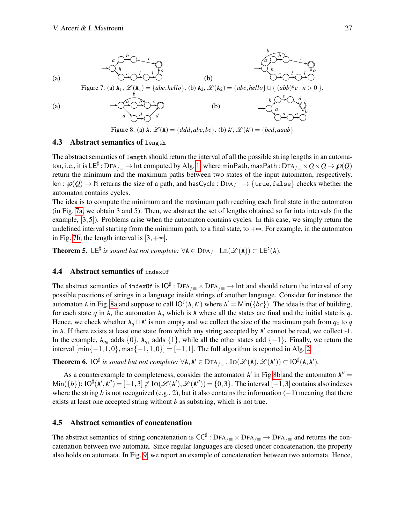<span id="page-8-1"></span><span id="page-8-0"></span>

Figure 8: (a)  $A$ ,  $\mathcal{L}(A) = \{ddd, abc, bc\}$ . (b)  $A'$ ,  $\mathcal{L}(A') = \{bcd, aaab\}$ 

#### 4.3 Abstract semantics of length

The abstract semantics of length should return the interval of all the possible string lengths in an automaton, i.e., it is LE $^\sharp$  : DFA $_{/\equiv}$   $\to$  Int computed by Alg. [1,](#page-9-0) where minPath, maxPath : DFA $_{/\equiv}\times Q\times Q\to \wp(Q)$ return the minimum and the maximum paths between two states of the input automaton, respectively. len :  $\wp(Q) \to \mathbb{N}$  returns the size of a path, and hasCycle : DFA<sub>/ $\equiv \to \{ \text{true}, \text{false} \}$  checks whether the</sub> automaton contains cycles.

The idea is to compute the minimum and the maximum path reaching each final state in the automaton (in Fig. [7a,](#page-8-0) we obtain 3 and 5). Then, we abstract the set of lengths obtained so far into intervals (in the example, [3,5]). Problems arise when the automaton contains cycles. In this case, we simply return the undefined interval starting from the minimum path, to a final state, to  $+\infty$ . For example, in the automaton in Fig. [7b,](#page-8-0) the length interval is  $[3, +\infty]$ .

**Theorem 5.** LE<sup> $\sharp$ </sup> is sound but not complete:  $\forall A \in \text{DFA}_{/\equiv}$  LE $(\mathscr{L}(A)) \subset \text{LE}^{\sharp}(A)$ .

#### 4.4 Abstract semantics of indexOf

The abstract semantics of index0f is  $IO^{\sharp}$  :  $DFA_{/\equiv} \times DFA_{/\equiv} \to Int$  and should return the interval of any possible positions of strings in a language inside strings of another language. Consider for instance the automaton A in Fig. [8a](#page-8-1) and suppose to call  $IO^{\sharp}(A, A')$  where  $A' = Min({bc})$ . The idea is that of building, for each state  $q$  in A, the automaton  $A_q$  which is A where all the states are final and the initial state is  $q$ . Hence, we check whether  $A_q \cap A'$  is non empty and we collect the size of the maximum path from  $q_0$  to  $q$ in A. If there exists at least one state from which any string accepted by A' cannot be read, we collect -1. In the example,  $A_{q_0}$  adds  $\{0\}$ ,  $A_{q_1}$  adds  $\{1\}$ , while all the other states add  $\{-1\}$ . Finally, we return the interval  $[\min\{-1,1,0\},\max\{-1,1,0\}] = [-1,1]$ . The full algorithm is reported in Alg. [2.](#page-9-1)

**Theorem 6.**  $IO^{\sharp}$  is sound but not complete:  $\forall A, A' \in$  DFA<sub>/ $\equiv$ </sub>.  $IO(\mathscr{L}(A), \mathscr{L}(A')) \subset IO^{\sharp}(A, A').$ 

As a counterexample to completeness, consider the automaton  $A'$  in Fig[.8b](#page-8-1) and the automaton  $A'' =$  $\text{Min}(\{b\})$ :  $\text{IO}^{\sharp}(\text{A}', \text{A}'') = [-1, 3] \not\subset \text{IO}(\mathscr{L}(\text{A}'), \mathscr{L}(\text{A}'')) = \{0, 3\}$ . The interval  $[-1, 3]$  contains also indexes where the string *b* is not recognized (e.g., 2), but it also contains the information  $(-1)$  meaning that there exists at least one accepted string without *b* as substring, which is not true.

#### 4.5 Abstract semantics of concatenation

The abstract semantics of string concatenation is  $CC^{\sharp}$  :  $DFA_{/\equiv} \times DFA_{/\equiv} \to DFA_{/\equiv}$  and returns the concatenation between two automata. Since regular languages are closed under concatenation, the property also holds on automata. In Fig. [9,](#page-9-2) we report an example of concatenation between two automata. Hence,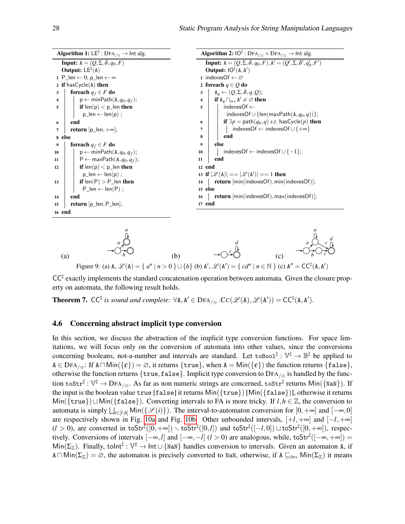|        | <b>Algorithm 1:</b> LE <sup><math>\sharp</math></sup> : DFA <sub>/<math>\equiv</math></sub> $\to$ lnt alg. |                                                                                       | <b>Algorithm 2:</b> $IO^{\sharp}$ : $DFA_{/\equiv} \times DFA_{/\equiv} \rightarrow Int$ alg. |  |  |
|--------|------------------------------------------------------------------------------------------------------------|---------------------------------------------------------------------------------------|-----------------------------------------------------------------------------------------------|--|--|
|        | <b>Input:</b> $A = (Q, \Sigma, \delta, q_0, F)$                                                            | <b>Input:</b> $A = (Q, \Sigma, \delta, q_0, F), A' = (Q', \Sigma, \delta', q'_0, F')$ |                                                                                               |  |  |
|        | <b>Output:</b> $LE\sharp(A)$                                                                               |                                                                                       | Output: $IO^{\sharp}(A, A')$                                                                  |  |  |
|        | 1 P len $\leftarrow$ 0; p len $\leftarrow \infty$                                                          |                                                                                       | 1 indexesOf $\leftarrow \varnothing$                                                          |  |  |
|        | 2 if has $Cycle(A)$ then                                                                                   |                                                                                       | 2 foreach $q \in Q$ do                                                                        |  |  |
| 3      | foreach $q_f \in F$ do                                                                                     | 3                                                                                     | $A_q \leftarrow (Q, \Sigma, \delta, q, Q);$                                                   |  |  |
| 4      | $\vert p \leftarrow minPath(A, q_0, q_f);$                                                                 | 4                                                                                     | <b>if</b> $A_q \sqcap_{\text{DFA}} A' \neq \varnothing$ then                                  |  |  |
| 5      | <b>if</b> $len(p) < p$ len <b>then</b>                                                                     | 5                                                                                     | $indexesOf \leftarrow$                                                                        |  |  |
|        | $p_{\cdot}$ len $\leftarrow$ len(p);                                                                       |                                                                                       | indexesOf $\cup$ {len(maxPath(A, $q_0, q$ ))};                                                |  |  |
| 6      | end                                                                                                        | 6                                                                                     | if $\exists p = \text{path}(q_0, q) \text{ s.t. } \text{hasCycle}(p)$ then                    |  |  |
| 7      | <b>return</b> $[p_{\text{min}}, +\infty]$ ;                                                                | 7                                                                                     | indexesOf $\leftarrow$ indexesOf $\cup$ {+ $\infty$ }                                         |  |  |
| 8 else |                                                                                                            | 8                                                                                     | end                                                                                           |  |  |
| 9      | foreach $q_f \in F$ do                                                                                     | 9                                                                                     | else                                                                                          |  |  |
| 10     | $p \leftarrow minPath(A, q_0, q_f);$                                                                       | 10                                                                                    | indexesOf $\leftarrow$ indexesOf $\cup$ {-1};                                                 |  |  |
| 11     | $P \leftarrow maxPath(A, q_0, q_f);$                                                                       | 11                                                                                    | end                                                                                           |  |  |
| 12     | <b>if</b> $len(p) < p$ len <b>then</b>                                                                     |                                                                                       | 12 end                                                                                        |  |  |
|        | $p \text{ len} \leftarrow \text{len}(p)$ ;                                                                 |                                                                                       | 13 if $ \mathscr{L}(A)  ==  \mathscr{L}(A')  == 1$ then                                       |  |  |
| 13     | if $len(P) > P_{len}$ then                                                                                 | 14                                                                                    | return [min(indexesOf), min(indexesOf)];                                                      |  |  |
|        | P len $\leftarrow$ len(P) :                                                                                | 15 else                                                                               |                                                                                               |  |  |
| 14     | end                                                                                                        | 16                                                                                    | <b>return</b> $ \text{min}(\text{indexesOf})$ , $\text{max}(\text{indexesOf}) $ ;             |  |  |
| 15     | <b>return</b> $[p_{\text{}}]$ en, P $_{\text{}}$ en ;                                                      |                                                                                       | 17 end                                                                                        |  |  |
| 16 end |                                                                                                            |                                                                                       |                                                                                               |  |  |
|        |                                                                                                            |                                                                                       |                                                                                               |  |  |
|        |                                                                                                            |                                                                                       |                                                                                               |  |  |

<span id="page-9-2"></span><span id="page-9-1"></span><span id="page-9-0"></span>

 $CC^{\sharp}$  exactly implements the standard concatenation operation between automata. Given the closure property on automata, the following result holds.

**Theorem 7.**  $CC^{\sharp}$  is sound and complete:  $\forall A, A' \in \text{DFA}_{/\equiv}$   $\mathsf{CC}(\mathscr{L}(A), \mathscr{L}(A')) = CC^{\sharp}(A, A').$ 

#### 4.6 Concerning abstract implicit type conversion

In this section, we discuss the abstraction of the implicit type conversion functions. For space limitations, we will focus only on the conversion of automata into other values, since the conversions concerning booleans, not-a-number and intervals are standard. Let  $\text{to}$ Bool $\sharp : \mathbb{V}^{\sharp} \to \mathbb{B}^{\sharp}$  be applied to  $A \in \text{DFA}_{\ell}$ : If  $A \cap \text{Min}(\{\varepsilon\}) = \emptyset$ , it returns  $\{\text{true}\},$  when  $A = \text{Min}(\{\varepsilon\})$  the function returns  $\{\text{false}\},$ otherwise the function returns  $\{true, false\}$ . Implicit type conversion to  $DFA_{\ell}$  is handled by the function toStr $^{\sharp}$  :  $\mathbb{V}^{\sharp}\to$  DFA $_{/\equiv}$ . As far as non numeric strings are concerned, toStr $^{\sharp}$  returns Min({NaN}). If the input is the boolean value true [false] it returns Min({true}) [Min({false})], otherwise it returns  $Min({true}) \sqcup Min({false})$ . Converting intervals to FA is more tricky. If  $l, h \in \mathbb{Z}$ , the conversion to automata is simply  $\bigsqcup_{i\in [l,h]}$  Min( $\{\mathscr{S}(i)\}\)$ . The interval-to-automaton conversion for  $[0,+\infty]$  and  $[-\infty,0]$ are respectively shown in Fig. [10a](#page-10-0) and Fig. [10b.](#page-10-0) Other unbounded intervals, [+*l*,+∞] and [−*l*,+∞]  $(l > 0)$ , are converted in toStr<sup>#</sup>([0,+∞]) \toStr<sup>#</sup>([0,*l*]) and toStr<sup>#</sup>([-*l*,0])  $\sqcup$  toStr<sup>#</sup>([0,+∞]), respectively. Conversions of intervals  $[-\infty, l]$  and  $[-\infty, -l]$   $(l > 0)$  are analogous, while, toStr<sup>#</sup>( $[-\infty, +\infty]$ ) =  $Min(\Sigma_{\mathbb{Z}})$ . Finally, tolnt<sup> $\sharp : \mathbb{V}^{\sharp} \to \text{Int} \cup \{ \text{NaN} \}$  handles conversion to intervals. Given an automaton A, if</sup>  $A \cap Min(\Sigma_{\mathbb{Z}}) = \emptyset$ , the automaton is precisely converted to NaN, otherwise, if  $A \sqsubseteq_{\text{DFA}} Min(\Sigma_{\mathbb{Z}})$  it means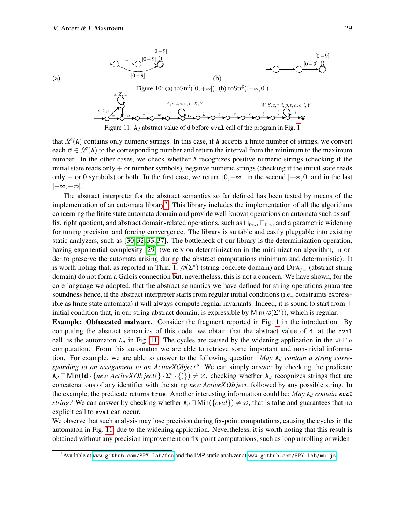<span id="page-10-2"></span>(a)

<span id="page-10-0"></span>

Figure [1](#page-1-0)1: A<sub>d</sub> abstract value of d before eval call of the program in Fig. 1

that  $\mathcal{L}(A)$  contains only numeric strings. In this case, if A accepts a finite number of strings, we convert each  $\sigma \in \mathcal{L}(\Lambda)$  to the corresponding number and return the interval from the minimum to the maximum number. In the other cases, we check whether A recognizes positive numeric strings (checking if the initial state reads only + or number symbols), negative numeric strings (checking if the initial state reads only – or 0 symbols) or both. In the first case, we return  $[0, +\infty]$ , in the second  $[-\infty, 0]$  and in the last [−∞,+∞].

The abstract interpreter for the abstract semantics so far defined has been tested by means of the implementation of an automata library<sup>[5](#page-10-1)</sup>. This library includes the implementation of all the algorithms concerning the finite state automata domain and provide well-known operations on automata such as suffix, right quotient, and abstract domain-related operations, such as  $\Box_{\text{DFA}}$ ,  $\Box_{\text{DFA}}$ , and a parametric widening for tuning precision and forcing convergence. The library is suitable and easily pluggable into existing static analyzers, such as [\[30,](#page-14-4) [32,](#page-14-5) [33,](#page-14-6) [37\]](#page-14-14). The bottleneck of our library is the determinization operation, having exponential complexity [\[29\]](#page-14-7) (we rely on determinization in the minimization algorithm, in order to preserve the automata arising during the abstract computations minimum and deterministic). It is worth noting that, as reported in Thm. [1,](#page-3-1)  $\mathcal{O}(\Sigma^*)$  (string concrete domain) and DFA<sub>/ $\equiv$ </sub> (abstract string domain) do not form a Galois connection but, nevertheless, this is not a concern. We have shown, for the core language we adopted, that the abstract semantics we have defined for string operations guarantee soundness hence, if the abstract interpreter starts from regular initial conditions (i.e., constraints expressible as finite state automata) it will always compute regular invariants. Indeed, it is sound to start from  $\top$ initial condition that, in our string abstract domain, is expressible by  $\text{Min}(\mathcal{P}(\Sigma^*))$ , which is regular.

Example: Obfuscated malware. Consider the fragment reported in Fig. [1](#page-1-0) in the introduction. By computing the abstract semantics of this code, we obtain that the abstract value of d, at the eval call, is the automaton  $A_d$  in Fig. [11.](#page-10-2) The cycles are caused by the widening application in the while computation. From this automaton we are able to retrieve some important and non-trivial information. For example, we are able to answer to the following question: *May* A*<sup>d</sup> contain a string corresponding to an assignment to an ActiveXObject?* We can simply answer by checking the predicate  $A_d \cap \text{Min}(\text{Id} \cdot \{new \text{ ActiveXObject}(\} \cdot \Sigma^* \cdot \{))\} \neq \emptyset$ , checking whether  $A_d$  recognizes strings that are concatenations of any identifier with the string *new ActiveXOb ject*, followed by any possible string. In the example, the predicate returns true. Another interesting information could be: *May* A*<sup>d</sup> contain* eval *string?* We can answer by checking whether  $A_d \Box \text{Min}(\{eval\}) \neq \emptyset$ , that is false and guarantees that no explicit call to eval can occur.

We observe that such analysis may lose precision during fix-point computations, causing the cycles in the automaton in Fig. [11,](#page-10-2) due to the widening application. Nevertheless, it is worth noting that this result is obtained without any precision improvement on fix-point computations, such as loop unrolling or widen-

<span id="page-10-1"></span><sup>5</sup>Available at <www.github.com/SPY-Lab/fsa> and the IMP static analyzer at <www.github.com/SPY-Lab/mu-js>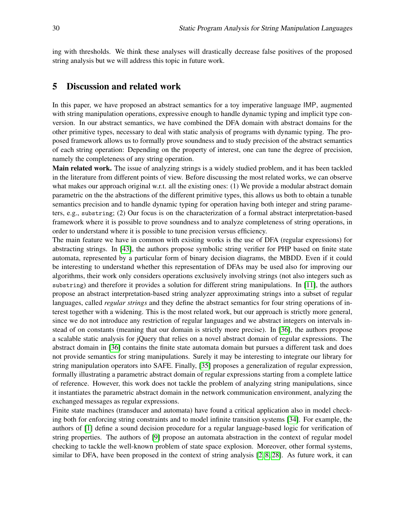ing with thresholds. We think these analyses will drastically decrease false positives of the proposed string analysis but we will address this topic in future work.

## <span id="page-11-0"></span>5 Discussion and related work

In this paper, we have proposed an abstract semantics for a toy imperative language IMP, augmented with string manipulation operations, expressive enough to handle dynamic typing and implicit type conversion. In our abstract semantics, we have combined the DFA domain with abstract domains for the other primitive types, necessary to deal with static analysis of programs with dynamic typing. The proposed framework allows us to formally prove soundness and to study precision of the abstract semantics of each string operation: Depending on the property of interest, one can tune the degree of precision, namely the completeness of any string operation.

Main related work. The issue of analyzing strings is a widely studied problem, and it has been tackled in the literature from different points of view. Before discussing the most related works, we can observe what makes our approach original w.r.t. all the existing ones: (1) We provide a modular abstract domain parametric on the the abstractions of the different primitive types, this allows us both to obtain a tunable semantics precision and to handle dynamic typing for operation having both integer and string parameters, e.g., substring; (2) Our focus is on the characterization of a formal abstract interpretation-based framework where it is possible to prove soundness and to analyze completeness of string operations, in order to understand where it is possible to tune precision versus efficiency.

The main feature we have in common with existing works is the use of DFA (regular expressions) for abstracting strings. In [\[43\]](#page-14-10), the authors propose symbolic string verifier for PHP based on finite state automata, represented by a particular form of binary decision diagrams, the MBDD. Even if it could be interesting to understand whether this representation of DFAs may be used also for improving our algorithms, their work only considers operations exclusively involving strings (not also integers such as substring) and therefore it provides a solution for different string manipulations. In [\[11\]](#page-13-3), the authors propose an abstract interpretation-based string analyzer approximating strings into a subset of regular languages, called *regular strings* and they define the abstract semantics for four string operations of interest together with a widening. This is the most related work, but our approach is strictly more general, since we do not introduce any restriction of regular languages and we abstract integers on intervals instead of on constants (meaning that our domain is strictly more precise). In [\[36\]](#page-14-9), the authors propose a scalable static analysis for jQuery that relies on a novel abstract domain of regular expressions. The abstract domain in [\[36\]](#page-14-9) contains the finite state automata domain but pursues a different task and does not provide semantics for string manipulations. Surely it may be interesting to integrate our library for string manipulation operators into SAFE. Finally, [\[35\]](#page-14-15) proposes a generalization of regular expression, formally illustrating a parametric abstract domain of regular expressions starting from a complete lattice of reference. However, this work does not tackle the problem of analyzing string manipulations, since it instantiates the parametric abstract domain in the network communication environment, analyzing the exchanged messages as regular expressions.

Finite state machines (transducer and automata) have found a critical application also in model checking both for enforcing string constraints and to model infinite transition systems [\[34\]](#page-14-16). For example, the authors of [\[1\]](#page-12-0) define a sound decision procedure for a regular language-based logic for verification of string properties. The authors of [\[9\]](#page-13-16) propose an automata abstraction in the context of regular model checking to tackle the well-known problem of state space explosion. Moreover, other formal systems, similar to DFA, have been proposed in the context of string analysis [\[2,](#page-12-1) [8,](#page-13-17) [28\]](#page-14-17). As future work, it can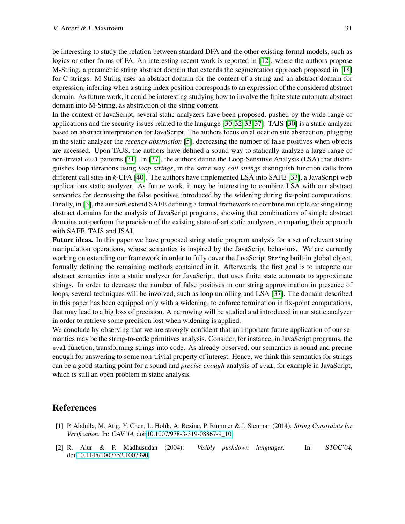be interesting to study the relation between standard DFA and the other existing formal models, such as logics or other forms of FA. An interesting recent work is reported in [\[12\]](#page-13-18), where the authors propose M-String, a parametric string abstract domain that extends the segmentation approach proposed in [\[18\]](#page-13-19) for C strings. M-String uses an abstract domain for the content of a string and an abstract domain for expression, inferring when a string index position corresponds to an expression of the considered abstract domain. As future work, it could be interesting studying how to involve the finite state automata abstract domain into M-String, as abstraction of the string content.

In the context of JavaScript, several static analyzers have been proposed, pushed by the wide range of applications and the security issues related to the language [\[30,](#page-14-4) [32,](#page-14-5) [33,](#page-14-6) [37\]](#page-14-14). TAJS [\[30\]](#page-14-4) is a static analyzer based on abstract interpretation for JavaScript. The authors focus on allocation site abstraction, plugging in the static analyzer the *recency abstraction* [\[5\]](#page-13-20), decreasing the number of false positives when objects are accessed. Upon TAJS, the authors have defined a sound way to statically analyze a large range of non-trivial eval patterns [\[31\]](#page-14-18). In [\[37\]](#page-14-14), the authors define the Loop-Sensitive Analysis (LSA) that distinguishes loop iterations using *loop strings*, in the same way *call strings* distinguish function calls from different call sites in *k*-CFA [\[40\]](#page-14-19). The authors have implemented LSA into SAFE [\[33\]](#page-14-6), a JavaScript web applications static analyzer. As future work, it may be interesting to combine LSA with our abstract semantics for decreasing the false positives introduced by the widening during fix-point computations. Finally, in [\[3\]](#page-13-21), the authors extend SAFE defining a formal framework to combine multiple existing string abstract domains for the analysis of JavaScript programs, showing that combinations of simple abstract domains out-perform the precision of the existing state-of-art static analyzers, comparing their approach with SAFE, TAJS and JSAI.

Future ideas. In this paper we have proposed string static program analysis for a set of relevant string manipulation operations, whose semantics is inspired by the JavaScript behaviors. We are currently working on extending our framework in order to fully cover the JavaScript String built-in global object, formally defining the remaining methods contained in it. Afterwards, the first goal is to integrate our abstract semantics into a static analyzer for JavaScript, that uses finite state automata to approximate strings. In order to decrease the number of false positives in our string approximation in presence of loops, several techniques will be involved, such as loop unrolling and LSA [\[37\]](#page-14-14). The domain described in this paper has been equipped only with a widening, to enforce termination in fix-point computations, that may lead to a big loss of precision. A narrowing will be studied and introduced in our static analyzer in order to retrieve some precision lost when widening is applied.

We conclude by observing that we are strongly confident that an important future application of our semantics may be the string-to-code primitives analysis. Consider, for instance, in JavaScript programs, the eval function, transforming strings into code. As already observed, our semantics is sound and precise enough for answering to some non-trivial property of interest. Hence, we think this semantics for strings can be a good starting point for a sound and *precise enough* analysis of eval, for example in JavaScript, which is still an open problem in static analysis.

## References

- <span id="page-12-0"></span>[1] P. Abdulla, M. Atig, Y. Chen, L. Holík, A. Rezine, P. Rümmer & J. Stenman (2014): *String Constraints for Verification*. In: CAV'14, doi[:10.1007/978-3-319-08867-9\\_10.](http://dx.doi.org/10.1007/978-3-319-08867-9_10)
- <span id="page-12-1"></span>[2] R. Alur & P. Madhusudan (2004): *Visibly pushdown languages*. In: STOC'04, doi[:10.1145/1007352.1007390.](http://dx.doi.org/10.1145/1007352.1007390)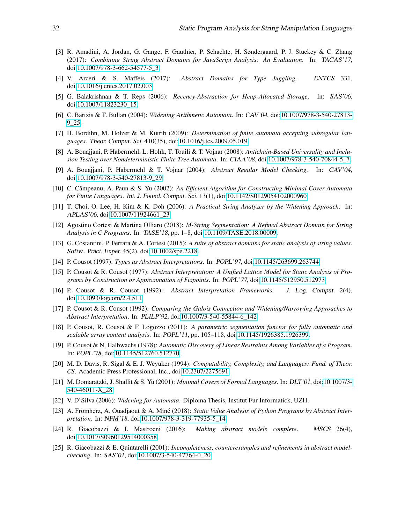- <span id="page-13-21"></span>[3] R. Amadini, A. Jordan, G. Gange, F. Gauthier, P. Schachte, H. Søndergaard, P. J. Stuckey & C. Zhang (2017): *Combining String Abstract Domains for JavaScript Analysis: An Evaluation*. In: TACAS'17, doi[:10.1007/978-3-662-54577-5\\_3.](http://dx.doi.org/10.1007/978-3-662-54577-5_3)
- <span id="page-13-2"></span>[4] V. Arceri & S. Maffeis (2017): *Abstract Domains for Type Juggling*. ENTCS 331, doi[:10.1016/j.entcs.2017.02.003.](http://dx.doi.org/10.1016/j.entcs.2017.02.003)
- <span id="page-13-20"></span>[5] G. Balakrishnan & T. Reps (2006): *Recency-Abstraction for Heap-Allocated Storage*. In: SAS'06, doi[:10.1007/11823230\\_15.](http://dx.doi.org/10.1007/11823230_15)
- <span id="page-13-8"></span>[6] C. Bartzis & T. Bultan (2004): *Widening Arithmetic Automata*. In: CAV'04, doi[:10.1007/978-3-540-27813-](http://dx.doi.org/10.1007/978-3-540-27813-9_25) [9\\_25.](http://dx.doi.org/10.1007/978-3-540-27813-9_25)
- <span id="page-13-15"></span>[7] H. Bordihn, M. Holzer & M. Kutrib (2009): *Determination of finite automata accepting subregular languages*. Theor. Comput. Sci. 410(35), doi[:10.1016/j.tcs.2009.05.019.](http://dx.doi.org/10.1016/j.tcs.2009.05.019)
- <span id="page-13-17"></span>[8] A. Bouajjani, P. Habermehl, L. Holík, T. Touili & T. Vojnar (2008): *Antichain-Based Universality and Inclusion Testing over Nondeterministic Finite Tree Automata*. In: CIAA'08, doi[:10.1007/978-3-540-70844-5\\_7.](http://dx.doi.org/10.1007/978-3-540-70844-5_7)
- <span id="page-13-16"></span>[9] A. Bouajjani, P. Habermehl & T. Vojnar (2004): *Abstract Regular Model Checking*. In: CAV'04, doi[:10.1007/978-3-540-27813-9\\_29.](http://dx.doi.org/10.1007/978-3-540-27813-9_29)
- <span id="page-13-12"></span>[10] C. Câmpeanu, A. Paun & S. Yu (2002): *An Efficient Algorithm for Constructing Minimal Cover Automata for Finite Languages*. Int. J. Found. Comput. Sci. 13(1), doi[:10.1142/S0129054102000960.](http://dx.doi.org/10.1142/S0129054102000960)
- <span id="page-13-3"></span>[11] T. Choi, O. Lee, H. Kim & K. Doh (2006): *A Practical String Analyzer by the Widening Approach*. In: APLAS'06, doi[:10.1007/11924661\\_23.](http://dx.doi.org/10.1007/11924661_23)
- <span id="page-13-18"></span>[12] Agostino Cortesi & Martina Olliaro (2018): *M-String Segmentation: A Refined Abstract Domain for String Analysis in C Programs*. In: TASE'18, pp. 1–8, doi[:10.1109/TASE.2018.00009.](http://dx.doi.org/10.1109/TASE.2018.00009)
- <span id="page-13-6"></span>[13] G. Costantini, P. Ferrara & A. Cortesi (2015): *A suite of abstract domains for static analysis of string values*. Softw., Pract. Exper. 45(2), doi[:10.1002/spe.2218.](http://dx.doi.org/10.1002/spe.2218)
- <span id="page-13-10"></span>[14] P. Cousot (1997): *Types as Abstract Interpretations*. In: POPL'97, doi[:10.1145/263699.263744.](http://dx.doi.org/10.1145/263699.263744)
- <span id="page-13-0"></span>[15] P. Cousot & R. Cousot (1977): *Abstract Interpretation: A Unified Lattice Model for Static Analysis of Programs by Construction or Approximation of Fixpoints*. In: POPL'77, doi[:10.1145/512950.512973.](http://dx.doi.org/10.1145/512950.512973)
- <span id="page-13-4"></span>[16] P. Cousot & R. Cousot (1992): *Abstract Interpretation Frameworks*. J. Log. Comput. 2(4), doi[:10.1093/logcom/2.4.511.](http://dx.doi.org/10.1093/logcom/2.4.511)
- <span id="page-13-7"></span>[17] P. Cousot & R. Cousot (1992): *Comparing the Galois Connection and Widening/Narrowing Approaches to Abstract Interpretation*. In: PLILP'92, doi[:10.1007/3-540-55844-6\\_142.](http://dx.doi.org/10.1007/3-540-55844-6_142)
- <span id="page-13-19"></span>[18] P. Cousot, R. Cousot & F. Logozzo (2011): *A parametric segmentation functor for fully automatic and scalable array content analysis*. In: POPL'11, pp. 105–118, doi[:10.1145/1926385.1926399.](http://dx.doi.org/10.1145/1926385.1926399)
- <span id="page-13-5"></span>[19] P. Cousot & N. Halbwachs (1978): *Automatic Discovery of Linear Restraints Among Variables of a Program*. In: POPL'78, doi[:10.1145/512760.512770.](http://dx.doi.org/10.1145/512760.512770)
- <span id="page-13-1"></span>[20] M. D. Davis, R. Sigal & E. J. Weyuker (1994): *Computability, Complexity, and Languages: Fund. of Theor. CS*. Academic Press Professional, Inc., doi[:10.2307/2275691.](http://dx.doi.org/10.2307/2275691)
- <span id="page-13-11"></span>[21] M. Domaratzki, J. Shallit & S. Yu (2001): *Minimal Covers of Formal Languages*. In: DLT'01, doi[:10.1007/3-](http://dx.doi.org/10.1007/3-540-46011-X_28) [540-46011-X\\_28.](http://dx.doi.org/10.1007/3-540-46011-X_28)
- <span id="page-13-9"></span>[22] V. D'Silva (2006): *Widening for Automata*. Diploma Thesis, Institut Fur Informatick, UZH.
- <span id="page-13-14"></span>[23] A. Fromherz, A. Ouadjaout & A. Miné (2018): *Static Value Analysis of Python Programs by Abstract Interpretation*. In: NFM'18, doi[:10.1007/978-3-319-77935-5\\_14.](http://dx.doi.org/10.1007/978-3-319-77935-5_14)
- <span id="page-13-13"></span>[24] R. Giacobazzi & I. Mastroeni (2016): *Making abstract models complete*. MSCS 26(4), doi[:10.1017/S0960129514000358.](http://dx.doi.org/10.1017/S0960129514000358)
- [25] R. Giacobazzi & E. Quintarelli (2001): *Incompleteness, counterexamples and refinements in abstract modelchecking*. In: SAS'01, doi[:10.1007/3-540-47764-0\\_20.](http://dx.doi.org/10.1007/3-540-47764-0_20)